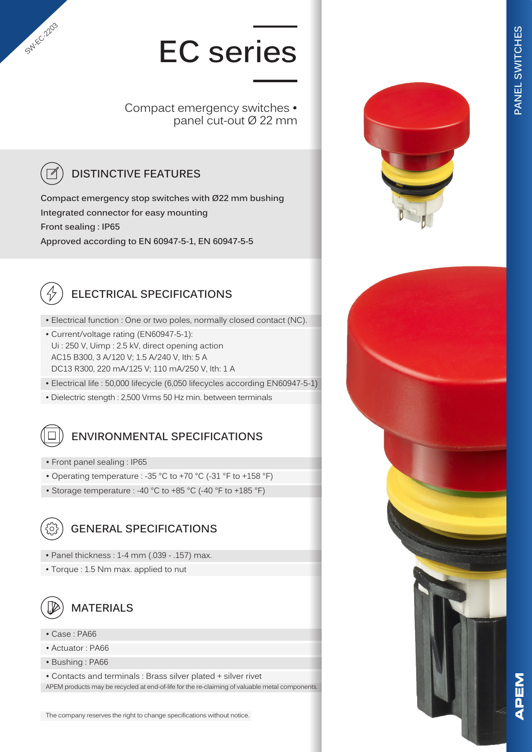# **EC series**

Compact emergency switches • panel cut-out Ø 22 mm

### **DISTINCTIVE FEATURES**

**Compact emergency stop switches with Ø22 mm bushing Integrated connector for easy mounting Front sealing : IP65 Approved according to EN 60947-5-1, EN 60947-5-5**



SW-EC-2203

#### **ELECTRICAL SPECIFICATIONS**

- Electrical function : One or two poles, normally closed contact (NC).
- Current/voltage rating (EN60947-5-1): Ui : 250 V, Uimp : 2.5 kV, direct opening action AC15 B300, 3 A/120 V; 1.5 A/240 V, Ith: 5 A DC13 R300, 220 mA/125 V; 110 mA/250 V, Ith: 1 A
- Electrical life : 50,000 lifecycle (6,050 lifecycles according EN60947-5-1)
- Dielectric stength : 2,500 Vrms 50 Hz min. between terminals

#### **ENVIRONMENTAL SPECIFICATIONS**

- Front panel sealing : IP65
- Operating temperature : -35 °C to +70 °C (-31 °F to +158 °F)
- Storage temperature : -40 °C to +85 °C (-40 °F to +185 °F)



#### **GENERAL SPECIFICATIONS**

- Panel thickness : 1-4 mm (.039 .157) max.
- Torque : 1.5 Nm max. applied to nut



#### **MATERIALS**

- Case : PA66
- Actuator : PA66
- Bushing : PA66

• Contacts and terminals : Brass silver plated + silver rivet APEM products may be recycled at end-of-life for the re-claiming of valuable metal components.



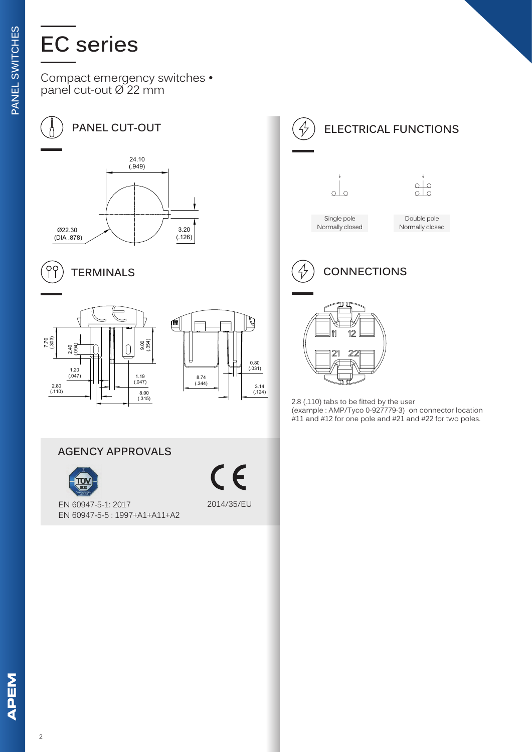## **EC series**

Compact emergency switches • panel cut-out Ø 22 mm



 $\overline{\phantom{a}}$ 









**AGENCY APPROVALS**



 $\epsilon$ 2014/35/EU



 $\overline{2.8}$  (.110) tabs to be fitted by the user (example : AMP/Tyco 0-927779-3) on connector location #11 and #12 for one pole and #21 and #22 for two poles.